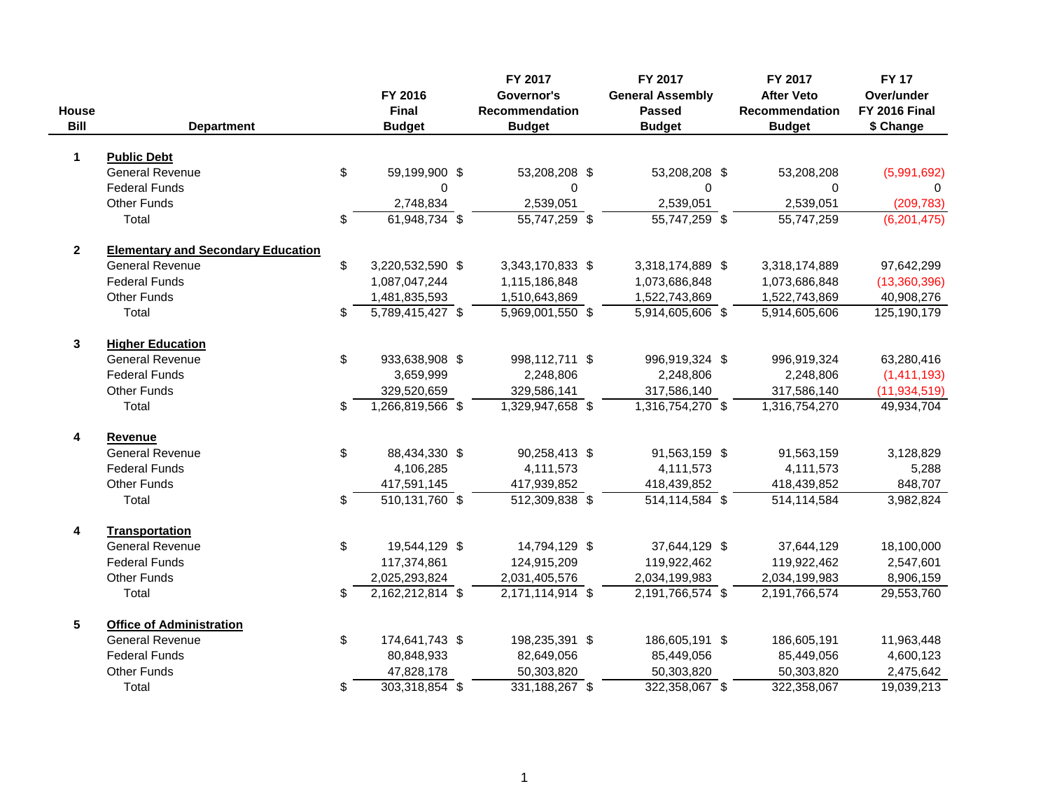| <b>House</b><br><b>Bill</b> | <b>Department</b>                         |     | FY 2016<br>Final<br><b>Budget</b> | FY 2017<br>Governor's<br>Recommendation<br><b>Budget</b> | FY 2017<br><b>General Assembly</b><br><b>Passed</b><br><b>Budget</b> | FY 2017<br><b>After Veto</b><br><b>Recommendation</b><br><b>Budget</b> | <b>FY 17</b><br>Over/under<br><b>FY 2016 Final</b><br>\$ Change |
|-----------------------------|-------------------------------------------|-----|-----------------------------------|----------------------------------------------------------|----------------------------------------------------------------------|------------------------------------------------------------------------|-----------------------------------------------------------------|
| $\mathbf 1$                 | <b>Public Debt</b>                        |     |                                   |                                                          |                                                                      |                                                                        |                                                                 |
|                             | <b>General Revenue</b>                    | \$  | 59,199,900 \$                     | 53,208,208 \$                                            | 53,208,208 \$                                                        | 53,208,208                                                             | (5,991,692)                                                     |
|                             | <b>Federal Funds</b>                      |     | 0                                 | 0                                                        | $\Omega$                                                             | 0                                                                      | 0                                                               |
|                             | <b>Other Funds</b>                        |     | 2,748,834                         | 2,539,051                                                | 2,539,051                                                            | 2,539,051                                                              | (209, 783)                                                      |
|                             | Total                                     | \$  | $61,948,734$ \$                   | $55,747,259$ \$                                          | $\overline{55,747,259}$ \$                                           | 55,747,259                                                             | (6,201,475)                                                     |
| $\mathbf{2}$                | <b>Elementary and Secondary Education</b> |     |                                   |                                                          |                                                                      |                                                                        |                                                                 |
|                             | <b>General Revenue</b>                    | \$  | 3,220,532,590 \$                  | 3,343,170,833 \$                                         | 3,318,174,889 \$                                                     | 3,318,174,889                                                          | 97,642,299                                                      |
|                             | <b>Federal Funds</b>                      |     | 1,087,047,244                     | 1,115,186,848                                            | 1,073,686,848                                                        | 1,073,686,848                                                          | (13,360,396)                                                    |
|                             | <b>Other Funds</b>                        |     | 1,481,835,593                     | 1,510,643,869                                            | 1,522,743,869                                                        | 1,522,743,869                                                          | 40,908,276                                                      |
|                             | Total                                     | \$  | $\overline{5,789,415,427}$ \$     | $5,969,001,550$ \$                                       | $\overline{5,914,605,606}$ \$                                        | 5,914,605,606                                                          | 125,190,179                                                     |
| 3                           | <b>Higher Education</b>                   |     |                                   |                                                          |                                                                      |                                                                        |                                                                 |
|                             | <b>General Revenue</b>                    | \$  | 933,638,908 \$                    | 998,112,711 \$                                           | 996,919,324 \$                                                       | 996,919,324                                                            | 63,280,416                                                      |
|                             | <b>Federal Funds</b>                      |     | 3,659,999                         | 2,248,806                                                | 2,248,806                                                            | 2,248,806                                                              | (1, 411, 193)                                                   |
|                             | <b>Other Funds</b>                        |     | 329,520,659                       | 329,586,141                                              | 317,586,140                                                          | 317,586,140                                                            | (11, 934, 519)                                                  |
|                             | Total                                     | \$  | 1,266,819,566 \$                  | 1,329,947,658 \$                                         | $1,316,754,270$ \$                                                   | 1,316,754,270                                                          | 49,934,704                                                      |
| 4                           | Revenue                                   |     |                                   |                                                          |                                                                      |                                                                        |                                                                 |
|                             | <b>General Revenue</b>                    | \$  | 88,434,330 \$                     | 90,258,413 \$                                            | 91,563,159 \$                                                        | 91,563,159                                                             | 3,128,829                                                       |
|                             | <b>Federal Funds</b>                      |     | 4,106,285                         | 4,111,573                                                | 4,111,573                                                            | 4,111,573                                                              | 5,288                                                           |
|                             | <b>Other Funds</b>                        |     | 417,591,145                       | 417,939,852                                              | 418,439,852                                                          | 418,439,852                                                            | 848,707                                                         |
|                             | Total                                     | \$  | $\overline{510, 131, 760}$ \$     | $\overline{512,309,838}$ \$                              | $\overline{514, 114, 584}$ \$                                        | 514,114,584                                                            | 3,982,824                                                       |
| 4                           | <b>Transportation</b>                     |     |                                   |                                                          |                                                                      |                                                                        |                                                                 |
|                             | <b>General Revenue</b>                    | \$  | 19,544,129 \$                     | 14,794,129 \$                                            | 37,644,129 \$                                                        | 37,644,129                                                             | 18,100,000                                                      |
|                             | <b>Federal Funds</b>                      |     | 117,374,861                       | 124,915,209                                              | 119,922,462                                                          | 119,922,462                                                            | 2,547,601                                                       |
|                             | <b>Other Funds</b>                        |     | 2,025,293,824                     | 2,031,405,576                                            | 2,034,199,983                                                        | 2,034,199,983                                                          | 8,906,159                                                       |
|                             | Total                                     | \$. | $2,162,212,814$ \$                | $2,171,114,914$ \$                                       | $2,191,766,574$ \$                                                   | 2,191,766,574                                                          | 29,553,760                                                      |
| 5                           | <b>Office of Administration</b>           |     |                                   |                                                          |                                                                      |                                                                        |                                                                 |
|                             | <b>General Revenue</b>                    | \$  | 174,641,743 \$                    | 198,235,391 \$                                           | 186,605,191 \$                                                       | 186,605,191                                                            | 11,963,448                                                      |
|                             | <b>Federal Funds</b>                      |     | 80,848,933                        | 82,649,056                                               | 85,449,056                                                           | 85,449,056                                                             | 4,600,123                                                       |
|                             | <b>Other Funds</b>                        |     | 47,828,178                        | 50,303,820                                               | 50,303,820                                                           | 50,303,820                                                             | 2,475,642                                                       |
|                             | Total                                     | \$  | $303,318,854$ \$                  | 331, 188, 267 \$                                         | 322,358,067 \$                                                       | 322,358,067                                                            | 19,039,213                                                      |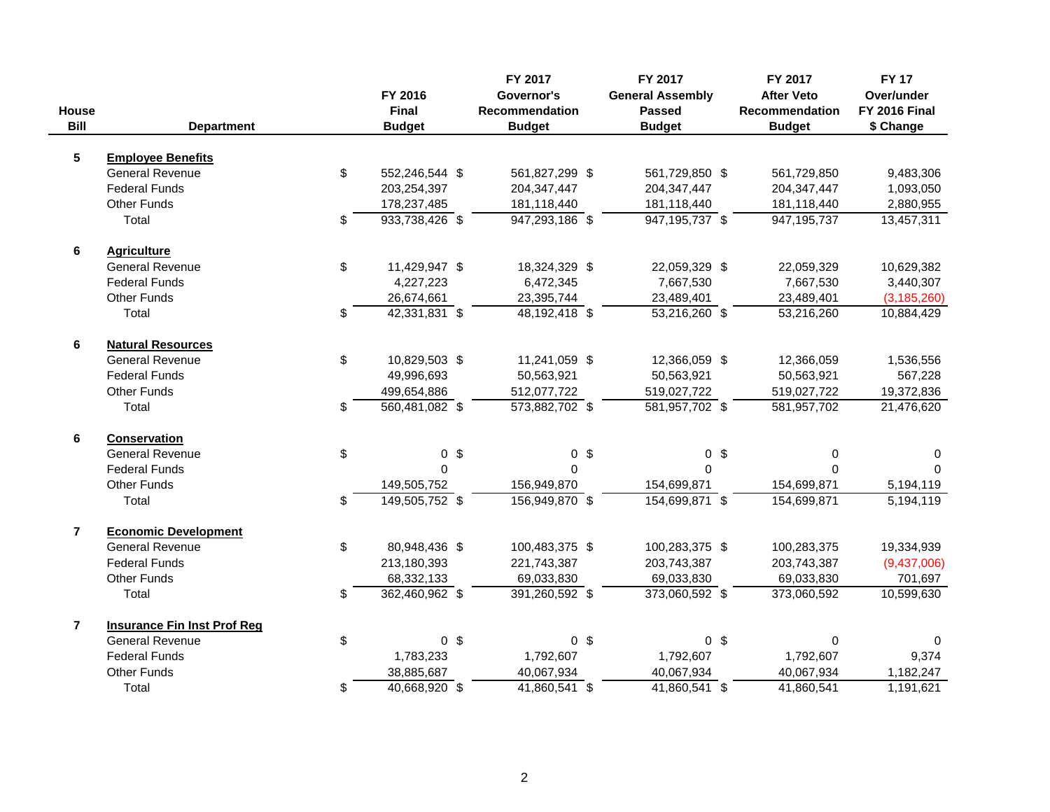| House<br><b>Bill</b>    | <b>Department</b>                  | FY 2016<br>Final<br><b>Budget</b> | FY 2017<br>Governor's<br>Recommendation<br><b>Budget</b> | FY 2017<br><b>General Assembly</b><br><b>Passed</b><br><b>Budget</b> |                | FY 2017<br><b>After Veto</b><br><b>Recommendation</b><br><b>Budget</b> | <b>FY 17</b><br>Over/under<br><b>FY 2016 Final</b><br>\$ Change |
|-------------------------|------------------------------------|-----------------------------------|----------------------------------------------------------|----------------------------------------------------------------------|----------------|------------------------------------------------------------------------|-----------------------------------------------------------------|
| $5\phantom{.0}$         | <b>Employee Benefits</b>           |                                   |                                                          |                                                                      |                |                                                                        |                                                                 |
|                         | <b>General Revenue</b>             | \$<br>552,246,544 \$              | 561,827,299 \$                                           | 561,729,850 \$                                                       |                | 561,729,850                                                            | 9,483,306                                                       |
|                         | <b>Federal Funds</b>               | 203,254,397                       | 204, 347, 447                                            | 204, 347, 447                                                        |                | 204, 347, 447                                                          | 1,093,050                                                       |
|                         | <b>Other Funds</b>                 | 178,237,485                       | 181,118,440                                              | 181,118,440                                                          |                | 181,118,440                                                            | 2,880,955                                                       |
|                         | Total                              | \$<br>$933,738,426$ \$            | 947,293,186 \$                                           | $\overline{947, 195, 737}$ \$                                        |                | 947, 195, 737                                                          | 13,457,311                                                      |
| 6                       | <b>Agriculture</b>                 |                                   |                                                          |                                                                      |                |                                                                        |                                                                 |
|                         | <b>General Revenue</b>             | \$<br>11,429,947 \$               | 18,324,329 \$                                            | 22,059,329 \$                                                        |                | 22,059,329                                                             | 10,629,382                                                      |
|                         | <b>Federal Funds</b>               | 4,227,223                         | 6,472,345                                                | 7,667,530                                                            |                | 7,667,530                                                              | 3,440,307                                                       |
|                         | <b>Other Funds</b>                 | 26,674,661                        | 23,395,744                                               | 23,489,401                                                           |                | 23,489,401                                                             | (3, 185, 260)                                                   |
|                         | Total                              | \$<br>$42,331,831$ \$             | $48,192,418$ \$                                          | $\overline{53,216,260}$ \$                                           |                | 53,216,260                                                             | 10,884,429                                                      |
| $\bf 6$                 | <b>Natural Resources</b>           |                                   |                                                          |                                                                      |                |                                                                        |                                                                 |
|                         | <b>General Revenue</b>             | \$<br>10,829,503 \$               | 11,241,059 \$                                            | 12,366,059 \$                                                        |                | 12,366,059                                                             | 1,536,556                                                       |
|                         | <b>Federal Funds</b>               | 49,996,693                        | 50,563,921                                               | 50,563,921                                                           |                | 50,563,921                                                             | 567,228                                                         |
|                         | <b>Other Funds</b>                 | 499,654,886                       | 512,077,722                                              | 519,027,722                                                          |                | 519,027,722                                                            | 19,372,836                                                      |
|                         | Total                              | \$<br>560,481,082 \$              | 573,882,702 \$                                           | 581,957,702 \$                                                       |                | 581,957,702                                                            | 21,476,620                                                      |
| $\bf 6$                 | <b>Conservation</b>                |                                   |                                                          |                                                                      |                |                                                                        |                                                                 |
|                         | <b>General Revenue</b>             | \$<br>0 <sup>6</sup>              | 0 <sup>5</sup>                                           |                                                                      | 0 <sup>5</sup> | 0                                                                      | 0                                                               |
|                         | <b>Federal Funds</b>               | $\Omega$                          | $\Omega$                                                 | $\Omega$                                                             |                | $\Omega$                                                               |                                                                 |
|                         | <b>Other Funds</b>                 | 149,505,752                       | 156,949,870                                              | 154,699,871                                                          |                | 154,699,871                                                            | 5,194,119                                                       |
|                         | Total                              | \$<br>149,505,752 \$              | 156,949,870 \$                                           | 154,699,871 \$                                                       |                | 154,699,871                                                            | 5,194,119                                                       |
| $\overline{7}$          | <b>Economic Development</b>        |                                   |                                                          |                                                                      |                |                                                                        |                                                                 |
|                         | <b>General Revenue</b>             | \$<br>80,948,436 \$               | 100,483,375 \$                                           | 100,283,375 \$                                                       |                | 100,283,375                                                            | 19,334,939                                                      |
|                         | <b>Federal Funds</b>               | 213,180,393                       | 221,743,387                                              | 203,743,387                                                          |                | 203,743,387                                                            | (9,437,006)                                                     |
|                         | <b>Other Funds</b>                 | 68,332,133                        | 69,033,830                                               | 69,033,830                                                           |                | 69,033,830                                                             | 701,697                                                         |
|                         | Total                              | \$<br>362,460,962 \$              | 391,260,592 \$                                           | 373,060,592 \$                                                       |                | 373,060,592                                                            | 10,599,630                                                      |
| $\overline{\mathbf{r}}$ | <b>Insurance Fin Inst Prof Reg</b> |                                   |                                                          |                                                                      |                |                                                                        |                                                                 |
|                         | <b>General Revenue</b>             | \$<br>0 <sup>6</sup>              | 0 <sup>5</sup>                                           |                                                                      | 0 <sup>5</sup> | $\pmb{0}$                                                              | $\mathbf{0}$                                                    |
|                         | <b>Federal Funds</b>               | 1,783,233                         | 1,792,607                                                | 1,792,607                                                            |                | 1,792,607                                                              | 9,374                                                           |
|                         | <b>Other Funds</b>                 | 38,885,687                        | 40,067,934                                               | 40,067,934                                                           |                | 40,067,934                                                             | 1,182,247                                                       |
|                         | Total                              | \$<br>40,668,920 \$               | $41,860,541$ \$                                          | $41,860,541$ \$                                                      |                | 41,860,541                                                             | 1,191,621                                                       |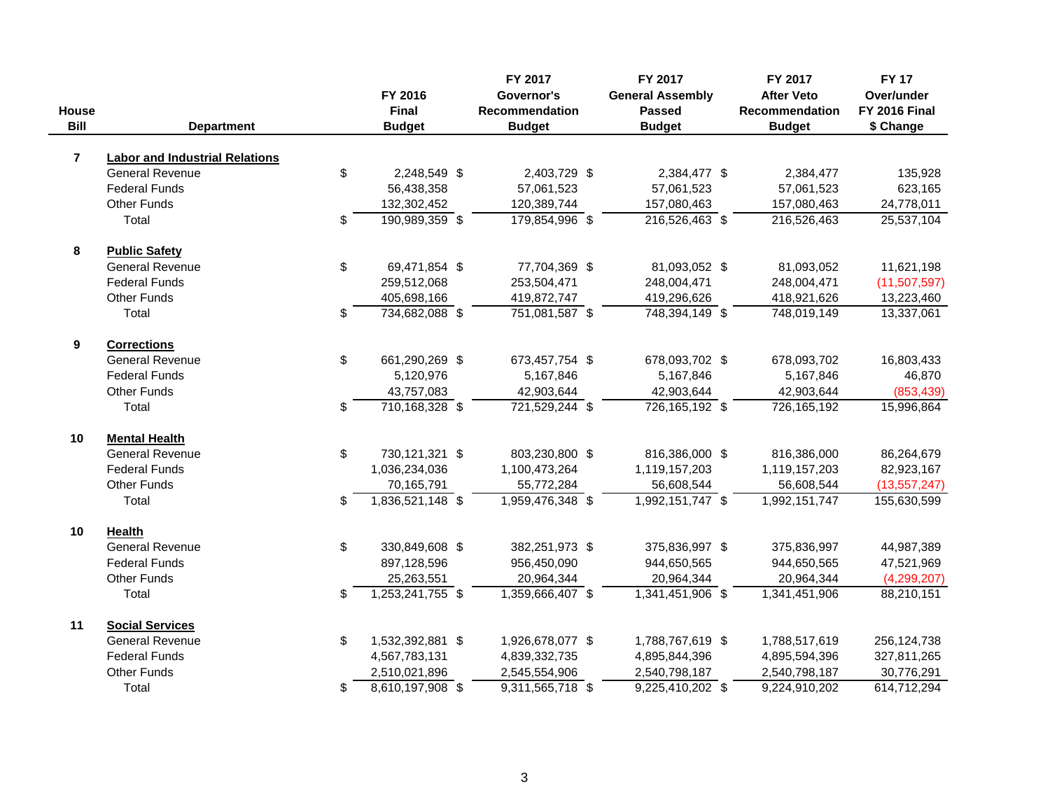| House<br><b>Bill</b> | <b>Department</b>                     | FY 2016<br>Final<br><b>Budget</b> | FY 2017<br>Governor's<br>Recommendation<br><b>Budget</b> | FY 2017<br><b>General Assembly</b><br><b>Passed</b><br><b>Budget</b> | FY 2017<br><b>After Veto</b><br><b>Recommendation</b><br><b>Budget</b> | <b>FY 17</b><br>Over/under<br><b>FY 2016 Final</b><br>\$ Change |
|----------------------|---------------------------------------|-----------------------------------|----------------------------------------------------------|----------------------------------------------------------------------|------------------------------------------------------------------------|-----------------------------------------------------------------|
| $\overline{7}$       | <b>Labor and Industrial Relations</b> |                                   |                                                          |                                                                      |                                                                        |                                                                 |
|                      | <b>General Revenue</b>                | \$<br>2,248,549 \$                | 2,403,729 \$                                             | 2,384,477 \$                                                         | 2,384,477                                                              | 135,928                                                         |
|                      | <b>Federal Funds</b>                  | 56,438,358                        | 57,061,523                                               | 57,061,523                                                           | 57,061,523                                                             | 623,165                                                         |
|                      | <b>Other Funds</b>                    | 132,302,452                       | 120,389,744                                              | 157,080,463                                                          | 157,080,463                                                            | 24,778,011                                                      |
|                      | Total                                 | \$<br>190,989,359 \$              | 179,854,996 \$                                           | $216,526,463$ \$                                                     | 216,526,463                                                            | 25,537,104                                                      |
| 8                    | <b>Public Safety</b>                  |                                   |                                                          |                                                                      |                                                                        |                                                                 |
|                      | <b>General Revenue</b>                | \$<br>69,471,854 \$               | 77,704,369 \$                                            | 81,093,052 \$                                                        | 81,093,052                                                             | 11,621,198                                                      |
|                      | <b>Federal Funds</b>                  | 259,512,068                       | 253,504,471                                              | 248,004,471                                                          | 248,004,471                                                            | (11,507,597)                                                    |
|                      | <b>Other Funds</b>                    | 405,698,166                       | 419,872,747                                              | 419,296,626                                                          | 418,921,626                                                            | 13,223,460                                                      |
|                      | Total                                 | \$<br>734,682,088 \$              | 751,081,587 \$                                           | 748,394,149 \$                                                       | 748,019,149                                                            | 13,337,061                                                      |
| 9                    | <b>Corrections</b>                    |                                   |                                                          |                                                                      |                                                                        |                                                                 |
|                      | <b>General Revenue</b>                | \$<br>661,290,269 \$              | 673,457,754 \$                                           | 678,093,702 \$                                                       | 678,093,702                                                            | 16,803,433                                                      |
|                      | <b>Federal Funds</b>                  | 5,120,976                         | 5,167,846                                                | 5,167,846                                                            | 5,167,846                                                              | 46,870                                                          |
|                      | <b>Other Funds</b>                    | 43,757,083                        | 42,903,644                                               | 42,903,644                                                           | 42,903,644                                                             | (853, 439)                                                      |
|                      | Total                                 | \$<br>710, 168, 328 \$            | 721,529,244 \$                                           | 726,165,192 \$                                                       | 726,165,192                                                            | 15,996,864                                                      |
| 10                   | <b>Mental Health</b>                  |                                   |                                                          |                                                                      |                                                                        |                                                                 |
|                      | <b>General Revenue</b>                | \$<br>730,121,321 \$              | 803,230,800 \$                                           | 816,386,000 \$                                                       | 816,386,000                                                            | 86,264,679                                                      |
|                      | <b>Federal Funds</b>                  | 1,036,234,036                     | 1,100,473,264                                            | 1,119,157,203                                                        | 1,119,157,203                                                          | 82,923,167                                                      |
|                      | <b>Other Funds</b>                    | 70,165,791                        | 55,772,284                                               | 56,608,544                                                           | 56,608,544                                                             | (13, 557, 247)                                                  |
|                      | Total                                 | \$<br>$1,836,521,148$ \$          | 1,959,476,348 \$                                         | 1,992,151,747 \$                                                     | 1,992,151,747                                                          | 155,630,599                                                     |
| 10                   | Health                                |                                   |                                                          |                                                                      |                                                                        |                                                                 |
|                      | <b>General Revenue</b>                | \$<br>330,849,608 \$              | 382,251,973 \$                                           | 375,836,997 \$                                                       | 375,836,997                                                            | 44,987,389                                                      |
|                      | <b>Federal Funds</b>                  | 897,128,596                       | 956,450,090                                              | 944,650,565                                                          | 944,650,565                                                            | 47,521,969                                                      |
|                      | <b>Other Funds</b>                    | 25,263,551                        | 20,964,344                                               | 20,964,344                                                           | 20,964,344                                                             | (4, 299, 207)                                                   |
|                      | Total                                 | \$<br>$1,253,241,755$ \$          | 1,359,666,407 \$                                         | 1,341,451,906 \$                                                     | 1,341,451,906                                                          | 88,210,151                                                      |
| 11                   | <b>Social Services</b>                |                                   |                                                          |                                                                      |                                                                        |                                                                 |
|                      | <b>General Revenue</b>                | \$<br>1,532,392,881 \$            | 1,926,678,077 \$                                         | 1,788,767,619 \$                                                     | 1,788,517,619                                                          | 256,124,738                                                     |
|                      | <b>Federal Funds</b>                  | 4,567,783,131                     | 4,839,332,735                                            | 4,895,844,396                                                        | 4,895,594,396                                                          | 327,811,265                                                     |
|                      | <b>Other Funds</b>                    | 2,510,021,896                     | 2,545,554,906                                            | 2,540,798,187                                                        | 2,540,798,187                                                          | 30,776,291                                                      |
|                      | Total                                 | \$<br>$8,610,197,908$ \$          | $9,311,565,718$ \$                                       | $9,225,410,202$ \$                                                   | 9,224,910,202                                                          | 614,712,294                                                     |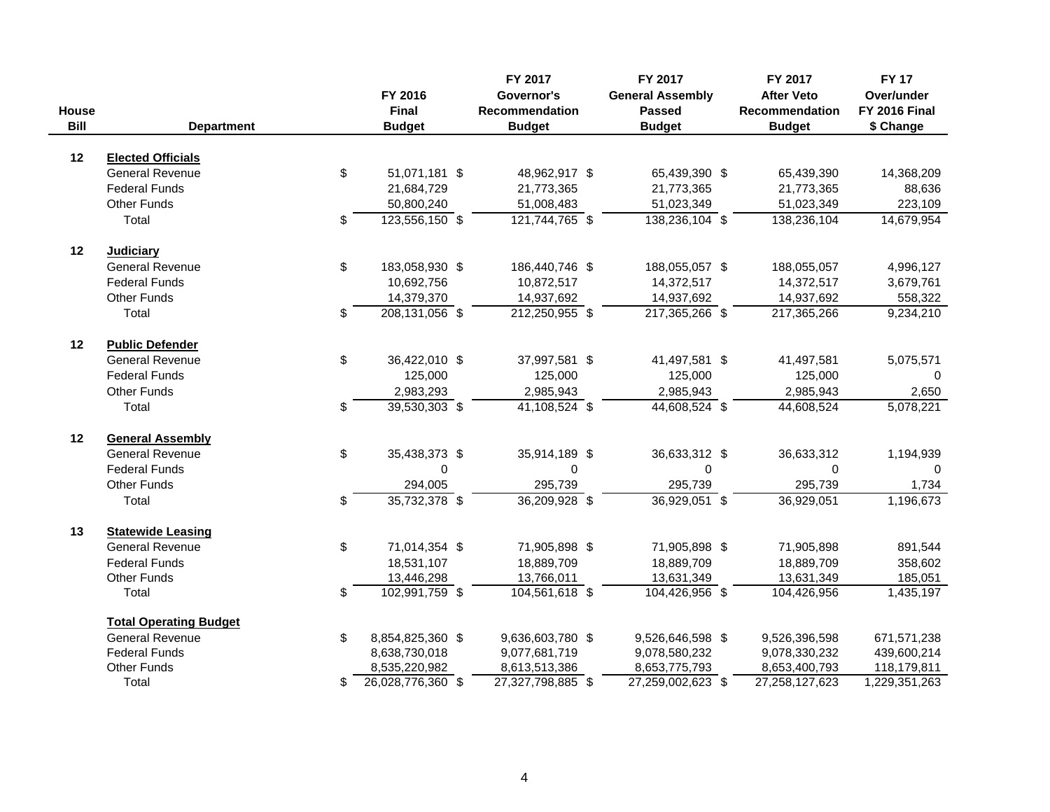| House<br><b>Bill</b> | <b>Department</b>                                  | FY 2016<br>Final<br><b>Budget</b> | FY 2017<br>Governor's<br><b>Recommendation</b><br><b>Budget</b> | FY 2017<br><b>General Assembly</b><br><b>Passed</b><br><b>Budget</b> | FY 2017<br><b>After Veto</b><br>Recommendation<br><b>Budget</b> | <b>FY 17</b><br>Over/under<br><b>FY 2016 Final</b><br>\$ Change |
|----------------------|----------------------------------------------------|-----------------------------------|-----------------------------------------------------------------|----------------------------------------------------------------------|-----------------------------------------------------------------|-----------------------------------------------------------------|
|                      |                                                    |                                   |                                                                 |                                                                      |                                                                 |                                                                 |
| 12                   | <b>Elected Officials</b><br><b>General Revenue</b> | 51,071,181 \$                     | 48,962,917 \$                                                   |                                                                      | 65,439,390                                                      | 14,368,209                                                      |
|                      | <b>Federal Funds</b>                               | \$                                |                                                                 | 65,439,390 \$                                                        |                                                                 |                                                                 |
|                      |                                                    | 21,684,729                        | 21,773,365                                                      | 21,773,365                                                           | 21,773,365                                                      | 88,636                                                          |
|                      | <b>Other Funds</b><br>Total                        | 50,800,240<br>$123,556,150$ \$    | 51,008,483<br>121,744,765 \$                                    | 51,023,349<br>138,236,104 \$                                         | 51,023,349                                                      | 223,109                                                         |
|                      |                                                    | \$                                |                                                                 |                                                                      | 138,236,104                                                     | 14,679,954                                                      |
| 12                   | <b>Judiciary</b>                                   |                                   |                                                                 |                                                                      |                                                                 |                                                                 |
|                      | <b>General Revenue</b>                             | \$<br>183,058,930 \$              | 186,440,746 \$                                                  | 188,055,057 \$                                                       | 188,055,057                                                     | 4,996,127                                                       |
|                      | <b>Federal Funds</b>                               | 10,692,756                        | 10,872,517                                                      | 14,372,517                                                           | 14,372,517                                                      | 3,679,761                                                       |
|                      | <b>Other Funds</b>                                 | 14,379,370                        | 14,937,692                                                      | 14,937,692                                                           | 14,937,692                                                      | 558,322                                                         |
|                      | Total                                              | \$<br>$208,131,056$ \$            | $212,250,955$ \$                                                | 217,365,266 \$                                                       | 217,365,266                                                     | 9,234,210                                                       |
| 12                   | <b>Public Defender</b>                             |                                   |                                                                 |                                                                      |                                                                 |                                                                 |
|                      | <b>General Revenue</b>                             | \$<br>36,422,010 \$               | 37,997,581 \$                                                   | 41,497,581 \$                                                        | 41,497,581                                                      | 5,075,571                                                       |
|                      | <b>Federal Funds</b>                               | 125,000                           | 125,000                                                         | 125,000                                                              | 125,000                                                         | $\mathbf 0$                                                     |
|                      | <b>Other Funds</b>                                 | 2,983,293                         | 2,985,943                                                       | 2,985,943                                                            | 2,985,943                                                       | 2,650                                                           |
|                      | Total                                              | \$<br>$39,530,303$ \$             | $41,108,524$ \$                                                 | $44,608,524$ \$                                                      | 44,608,524                                                      | 5,078,221                                                       |
|                      |                                                    |                                   |                                                                 |                                                                      |                                                                 |                                                                 |
| 12                   | <b>General Assembly</b>                            |                                   |                                                                 |                                                                      |                                                                 |                                                                 |
|                      | <b>General Revenue</b>                             | \$<br>35,438,373 \$               | 35,914,189 \$                                                   | 36,633,312 \$                                                        | 36,633,312                                                      | 1,194,939                                                       |
|                      | <b>Federal Funds</b>                               | 0                                 | 0                                                               | 0                                                                    | $\mathbf 0$                                                     | $\mathbf 0$                                                     |
|                      | <b>Other Funds</b>                                 | 294,005                           | 295,739                                                         | 295,739                                                              | 295,739                                                         | 1,734                                                           |
|                      | Total                                              | \$<br>35,732,378 \$               | $36,209,928$ \$                                                 | $\overline{36,929,051}$ \$                                           | 36,929,051                                                      | 1,196,673                                                       |
| 13                   | <b>Statewide Leasing</b>                           |                                   |                                                                 |                                                                      |                                                                 |                                                                 |
|                      | <b>General Revenue</b>                             | \$<br>71,014,354 \$               | 71,905,898 \$                                                   | 71,905,898 \$                                                        | 71,905,898                                                      | 891,544                                                         |
|                      | <b>Federal Funds</b>                               | 18,531,107                        | 18,889,709                                                      | 18,889,709                                                           | 18,889,709                                                      | 358,602                                                         |
|                      | <b>Other Funds</b>                                 | 13,446,298                        | 13,766,011                                                      | 13,631,349                                                           | 13,631,349                                                      | 185,051                                                         |
|                      | Total                                              | \$<br>102,991,759 \$              | 104,561,618 \$                                                  | 104,426,956 \$                                                       | 104,426,956                                                     | 1,435,197                                                       |
|                      | <b>Total Operating Budget</b>                      |                                   |                                                                 |                                                                      |                                                                 |                                                                 |
|                      | <b>General Revenue</b>                             | \$<br>8,854,825,360 \$            | 9,636,603,780 \$                                                | 9,526,646,598 \$                                                     | 9,526,396,598                                                   | 671,571,238                                                     |
|                      | <b>Federal Funds</b>                               | 8,638,730,018                     | 9,077,681,719                                                   | 9,078,580,232                                                        | 9,078,330,232                                                   | 439,600,214                                                     |
|                      | <b>Other Funds</b>                                 | 8,535,220,982                     | 8,613,513,386                                                   | 8,653,775,793                                                        | 8,653,400,793                                                   | 118,179,811                                                     |
|                      | Total                                              | \$<br>26,028,776,360 \$           | 27,327,798,885 \$                                               | 27,259,002,623 \$                                                    | 27,258,127,623                                                  | 1,229,351,263                                                   |